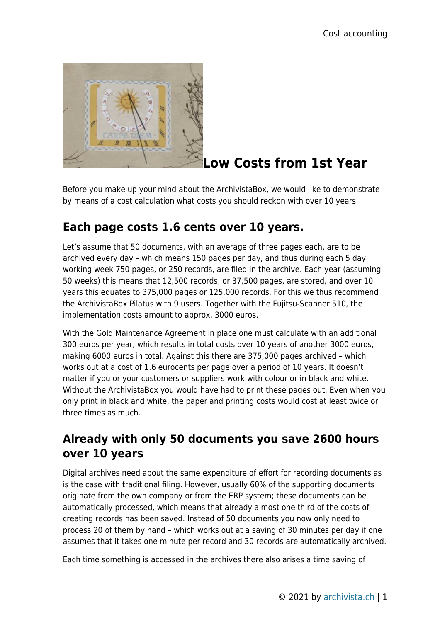

## **Low Costs from 1st Year**

Before you make up your mind about the ArchivistaBox, we would like to demonstrate by means of a cost calculation what costs you should reckon with over 10 years.

## **Each page costs 1.6 cents over 10 years.**

Let's assume that 50 documents, with an average of three pages each, are to be archived every day – which means 150 pages per day, and thus during each 5 day working week 750 pages, or 250 records, are filed in the archive. Each year (assuming 50 weeks) this means that 12,500 records, or 37,500 pages, are stored, and over 10 years this equates to 375,000 pages or 125,000 records. For this we thus recommend the ArchivistaBox Pilatus with 9 users. Together with the Fujitsu-Scanner 510, the implementation costs amount to approx. 3000 euros.

With the Gold Maintenance Agreement in place one must calculate with an additional 300 euros per year, which results in total costs over 10 years of another 3000 euros, making 6000 euros in total. Against this there are 375,000 pages archived – which works out at a cost of 1.6 eurocents per page over a period of 10 years. It doesn't matter if you or your customers or suppliers work with colour or in black and white. Without the ArchivistaBox you would have had to print these pages out. Even when you only print in black and white, the paper and printing costs would cost at least twice or three times as much.

## **Already with only 50 documents you save 2600 hours over 10 years**

Digital archives need about the same expenditure of effort for recording documents as is the case with traditional filing. However, usually 60% of the supporting documents originate from the own company or from the ERP system; these documents can be automatically processed, which means that already almost one third of the costs of creating records has been saved. Instead of 50 documents you now only need to process 20 of them by hand – which works out at a saving of 30 minutes per day if one assumes that it takes one minute per record and 30 records are automatically archived.

Each time something is accessed in the archives there also arises a time saving of